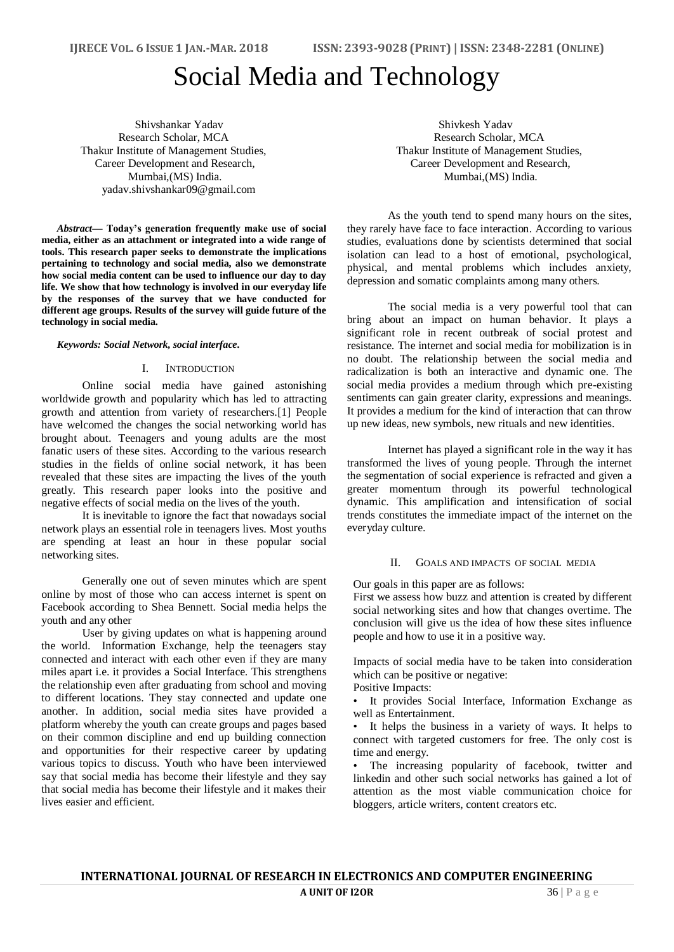# Social Media and Technology

Shivshankar Yadav Research Scholar, MCA Thakur Institute of Management Studies, Career Development and Research, Mumbai,(MS) India. yadav.shivshankar09@gmail.com

*Abstract***— Today's generation frequently make use of social media, either as an attachment or integrated into a wide range of tools. This research paper seeks to demonstrate the implications pertaining to technology and social media, also we demonstrate how social media content can be used to influence our day to day life. We show that how technology is involved in our everyday life by the responses of the survey that we have conducted for different age groups. Results of the survey will guide future of the technology in social media.**

# *Keywords: Social Network, social interface.*

### I. INTRODUCTION

Online social media have gained astonishing worldwide growth and popularity which has led to attracting growth and attention from variety of researchers.[1] People have welcomed the changes the social networking world has brought about. Teenagers and young adults are the most fanatic users of these sites. According to the various research studies in the fields of online social network, it has been revealed that these sites are impacting the lives of the youth greatly. This research paper looks into the positive and negative effects of social media on the lives of the youth.

It is inevitable to ignore the fact that nowadays social network plays an essential role in teenagers lives. Most youths are spending at least an hour in these popular social networking sites.

Generally one out of seven minutes which are spent online by most of those who can access internet is spent on Facebook according to Shea Bennett. Social media helps the youth and any other

User by giving updates on what is happening around the world. Information Exchange, help the teenagers stay connected and interact with each other even if they are many miles apart i.e. it provides a Social Interface. This strengthens the relationship even after graduating from school and moving to different locations. They stay connected and update one another. In addition, social media sites have provided a platform whereby the youth can create groups and pages based on their common discipline and end up building connection and opportunities for their respective career by updating various topics to discuss. Youth who have been interviewed say that social media has become their lifestyle and they say that social media has become their lifestyle and it makes their lives easier and efficient.

Shivkesh Yadav Research Scholar, MCA Thakur Institute of Management Studies, Career Development and Research, Mumbai,(MS) India.

As the youth tend to spend many hours on the sites, they rarely have face to face interaction. According to various studies, evaluations done by scientists determined that social isolation can lead to a host of emotional, psychological, physical, and mental problems which includes anxiety, depression and somatic complaints among many others.

The social media is a very powerful tool that can bring about an impact on human behavior. It plays a significant role in recent outbreak of social protest and resistance. The internet and social media for mobilization is in no doubt. The relationship between the social media and radicalization is both an interactive and dynamic one. The social media provides a medium through which pre-existing sentiments can gain greater clarity, expressions and meanings. It provides a medium for the kind of interaction that can throw up new ideas, new symbols, new rituals and new identities.

Internet has played a significant role in the way it has transformed the lives of young people. Through the internet the segmentation of social experience is refracted and given a greater momentum through its powerful technological dynamic. This amplification and intensification of social trends constitutes the immediate impact of the internet on the everyday culture.

### II. GOALS AND IMPACTS OF SOCIAL MEDIA

Our goals in this paper are as follows:

First we assess how buzz and attention is created by different social networking sites and how that changes overtime. The conclusion will give us the idea of how these sites influence people and how to use it in a positive way.

Impacts of social media have to be taken into consideration which can be positive or negative:

# Positive Impacts:

• It provides Social Interface, Information Exchange as well as Entertainment.

It helps the business in a variety of ways. It helps to connect with targeted customers for free. The only cost is time and energy.

The increasing popularity of facebook, twitter and linkedin and other such social networks has gained a lot of attention as the most viable communication choice for bloggers, article writers, content creators etc.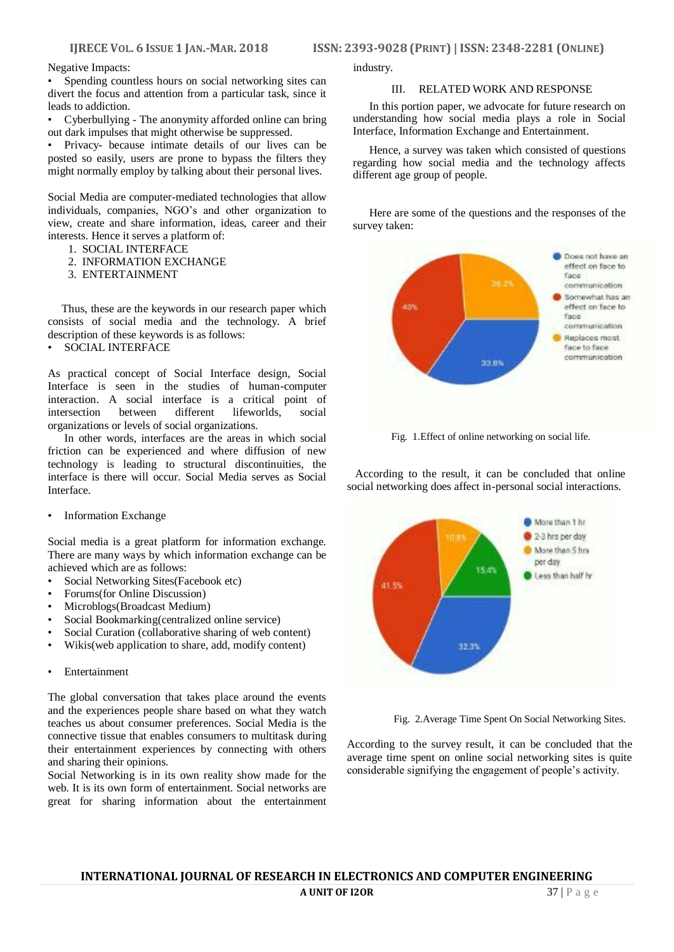**IJRECE VOL. 6 ISSUE 1 JAN.-MAR. 2018 [SSN: 2393-9028 (PRINT) | ISSN: 2348-2281 (ONLINE)** 

Negative Impacts:

Spending countless hours on social networking sites can divert the focus and attention from a particular task, since it leads to addiction.

• Cyberbullying - The anonymity afforded online can bring out dark impulses that might otherwise be suppressed.

• Privacy- because intimate details of our lives can be posted so easily, users are prone to bypass the filters they might normally employ by talking about their personal lives.

Social Media are computer-mediated technologies that allow individuals, companies, NGO's and other organization to view, create and share information, ideas, career and their interests. Hence it serves a platform of:

- 1. SOCIAL INTERFACE
- 2. INFORMATION EXCHANGE
- 3. ENTERTAINMENT

 Thus, these are the keywords in our research paper which consists of social media and the technology. A brief description of these keywords is as follows:

• SOCIAL INTERFACE

As practical concept of Social Interface design, Social Interface is seen in the studies of human-computer interaction. A social interface is a critical point of intersection between different lifeworlds, social organizations or levels of social organizations.

In other words, interfaces are the areas in which social friction can be experienced and where diffusion of new technology is leading to structural discontinuities, the interface is there will occur. Social Media serves as Social Interface.

• Information Exchange

Social media is a great platform for information exchange. There are many ways by which information exchange can be achieved which are as follows:

- Social Networking Sites(Facebook etc)
- Forums(for Online Discussion)
- Microblogs(Broadcast Medium)
- Social Bookmarking(centralized online service)
- Social Curation (collaborative sharing of web content)
- Wikis(web application to share, add, modify content)
- **Entertainment**

The global conversation that takes place around the events and the experiences people share based on what they watch teaches us about consumer preferences. Social Media is the connective tissue that enables consumers to multitask during their entertainment experiences by connecting with others and sharing their opinions.

Social Networking is in its own reality show made for the web. It is its own form of entertainment. Social networks are great for sharing information about the entertainment industry.

### III. RELATED WORK AND RESPONSE

In this portion paper, we advocate for future research on understanding how social media plays a role in Social Interface, Information Exchange and Entertainment.

Hence, a survey was taken which consisted of questions regarding how social media and the technology affects different age group of people.

Here are some of the questions and the responses of the survey taken:



Fig. 1.Effect of online networking on social life.

 According to the result, it can be concluded that online social networking does affect in-personal social interactions.



Fig. 2.Average Time Spent On Social Networking Sites.

According to the survey result, it can be concluded that the average time spent on online social networking sites is quite considerable signifying the engagement of people's activity.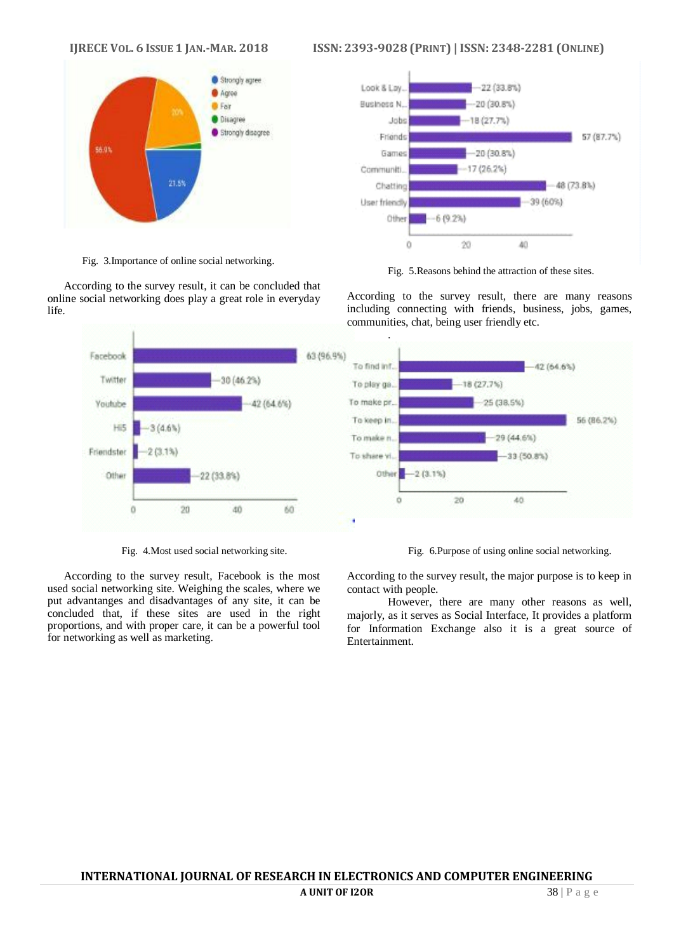

Fig. 3.Importance of online social networking.

According to the survey result, it can be concluded that online social networking does play a great role in everyday life.



Fig. 4.Most used social networking site.

According to the survey result, Facebook is the most used social networking site. Weighing the scales, where we put advantanges and disadvantages of any site, it can be concluded that, if these sites are used in the right proportions, and with proper care, it can be a powerful tool for networking as well as marketing.

# IJRECE VOL. 6 ISSUE 1 JAN.-MAR. 2018 ISSN: 2393-9028 (PRINT) | ISSN: 2348-2281 (ONLINE)



Fig. 5.Reasons behind the attraction of these sites.

According to the survey result, there are many reasons including connecting with friends, business, jobs, games, communities, chat, being user friendly etc.

Fig. 6.Purpose of using online social networking.

According to the survey result, the major purpose is to keep in contact with people.

However, there are many other reasons as well, majorly, as it serves as Social Interface, It provides a platform for Information Exchange also it is a great source of Entertainment.